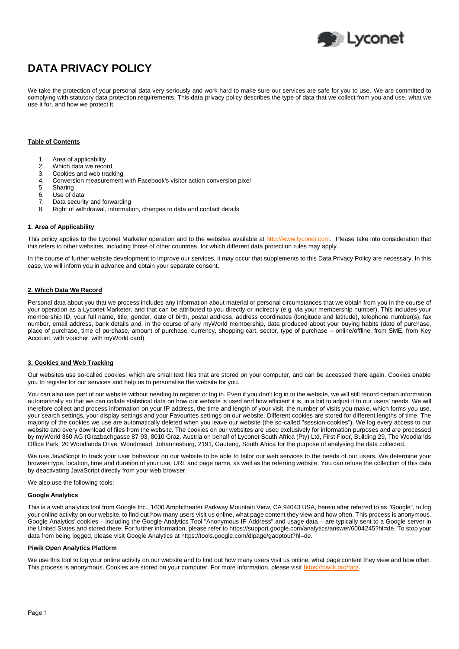

# **DATA PRIVACY POLICY**

We take the protection of your personal data very seriously and work hard to make sure our services are safe for you to use. We are committed to complying with statutory data protection requirements. This data privacy policy describes the type of data that we collect from you and use, what we use it for, and how we protect it.

# **Table of Contents**

- 1. Area of applicability
- 2. Which data we record
- 3. Cookies and web tracking
- 4. Conversion measurement with Facebook's visitor action conversion pixel
- 5. Sharing
- 6. Use of data
- 7. Data security and forwarding
- 8. Right of withdrawal, information, changes to data and contact details

# **1. Area of Applicability**

This policy applies to the Lyconet Marketer operation and to the websites available at [http://www.lyconet.com.](http://www.lyconet.com/) Please take into consideration that this refers to other websites, including those of other countries, for which different data protection rules may apply.

In the course of further website development to improve our services, it may occur that supplements to this Data Privacy Policy are necessary. In this case, we will inform you in advance and obtain your separate consent.

# **2. Which Data We Record**

Personal data about you that we process includes any information about material or personal circumstances that we obtain from you in the course of your operation as a Lyconet Marketer, and that can be attributed to you directly or indirectly (e.g. via your membership number). This includes your membership ID, your full name, title, gender, date of birth, postal address, address coordinates (longitude and latitude), telephone number(s), fax number, email address, bank details and, in the course of any myWorld membership, data produced about your buying habits (date of purchase, place of purchase, time of purchase, amount of purchase, currency, shopping cart, sector, type of purchase – online/offline, from SME, from Key Account, with voucher, with myWorld card).

# **3. Cookies and Web Tracking**

Our websites use so-called cookies, which are small text files that are stored on your computer, and can be accessed there again. Cookies enable you to register for our services and help us to personalise the website for you.

You can also use part of our website without needing to register or log in. Even if you don't log in to the website, we will still record certain information automatically so that we can collate statistical data on how our website is used and how efficient it is, in a bid to adjust it to our users' needs. We will therefore collect and process information on your IP address, the time and length of your visit, the number of visits you make, which forms you use, your search settings, your display settings and your Favourites settings on our website. Different cookies are stored for different lengths of time. The majority of the cookies we use are automatically deleted when you leave our website (the so-called "session-cookies"). We log every access to our website and every download of files from the website. The cookies on our websites are used exclusively for information purposes and are processed by myWorld 360 AG (Grazbachgasse 87-93, 8010 Graz, Austria on behalf of Lyconet South Africa (Pty) Ltd, First Floor, Building 29, The Woodlands Office Park, 20 Woodlands Drive, Woodmead, Johannesburg, 2191, Gauteng, South Africa for the purpose of analysing the data collected.

We use JavaScript to track your user behaviour on our website to be able to tailor our web services to the needs of our users. We determine your browser type, location, time and duration of your use, URL and page name, as well as the referring website. You can refuse the collection of this data by deactivating JavaScript directly from your web browser.

We also use the following tools:

## **Google Analytics**

This is a web analytics tool from Google Inc., 1600 Amphitheater Parkway Mountain View, CA 94043 USA, herein after referred to as "Google", to log your online activity on our website, to find out how many users visit us online, what page content they view and how often. This process is anonymous. Google Analytics' cookies – including the Google Analytics Tool "Anonymous IP Address" and usage data – are typically sent to a Google server in the United States and stored there. For further information, please refer to https://support.google.com/analytics/answer/6004245?hl=de. To stop your data from being logged, please visit Google Analytics at https://tools.google.com/dlpage/gaoptout?hl=de.

#### **Piwik Open Analytics Platform**

We use this tool to log your online activity on our website and to find out how many users visit us online, what page content they view and how often. This process is anonymous. Cookies are stored on your computer. For more information, please visit [https://piwik.org/faq/.](https://piwik.org/faq/)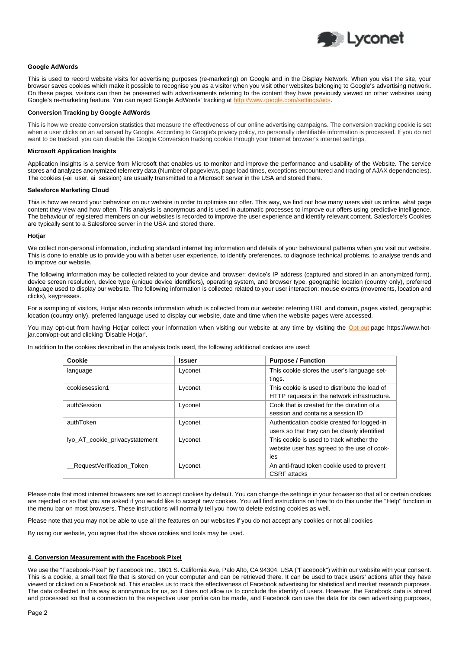

## **Google AdWords**

This is used to record website visits for advertising purposes (re-marketing) on Google and in the Display Network. When you visit the site, your browser saves cookies which make it possible to recognise you as a visitor when you visit other websites belonging to Google's advertising network. On these pages, visitors can then be presented with advertisements referring to the content they have previously viewed on other websites using Google's re-marketing feature. You can reject Google AdWords' tracking at http://www.google.com

## **Conversion Tracking by Google AdWords**

This is how we create conversion statistics that measure the effectiveness of our online advertising campaigns. The conversion tracking cookie is set when a user clicks on an ad served by Google. According to Google's privacy policy, no personally identifiable information is processed. If you do not want to be tracked, you can disable the Google Conversion tracking cookie through your Internet browser's internet settings.

#### **Microsoft Application Insights**

Application Insights is a service from Microsoft that enables us to monitor and improve the performance and usability of the Website. The service stores and analyzes anonymized telemetry data (Number of pageviews, page load times, exceptions encountered and tracing of AJAX dependencies). The cookies (-ai\_user, ai\_session) are usually transmitted to a Microsoft server in the USA and stored there.

#### **Salesforce Marketing Cloud**

This is how we record your behaviour on our website in order to optimise our offer. This way, we find out how many users visit us online, what page content they view and how often. This analysis is anonymous and is used in automatic processes to improve our offers using predictive intelligence. The behaviour of registered members on our websites is recorded to improve the user experience and identify relevant content. Salesforce's Cookies are typically sent to a Salesforce server in the USA and stored there.

#### **Hotjar**

We collect non-personal information, including standard internet log information and details of your behavioural patterns when you visit our website. This is done to enable us to provide you with a better user experience, to identify preferences, to diagnose technical problems, to analyse trends and to improve our website.

The following information may be collected related to your device and browser: device's IP address (captured and stored in an anonymized form), device screen resolution, device type (unique device identifiers), operating system, and browser type, geographic location (country only), preferred language used to display our website. The following information is collected related to your user interaction: mouse events (movements, location and clicks), keypresses.

For a sampling of visitors, Hotjar also records information which is collected from our website: referring URL and domain, pages visited, geographic location (country only), preferred language used to display our website, date and time when the website pages were accessed.

You may opt-out from having Hotjar collect your information when visiting our website at any time by visiting the [Opt-out](https://www.hotjar.com/opt-out) page https://www.hotjar.com/opt-out and clicking 'Disable Hotjar'.

In addition to the cookies described in the analysis tools used, the following additional cookies are used:

| Cookie                         | <b>Issuer</b> | <b>Purpose / Function</b>                                                                      |
|--------------------------------|---------------|------------------------------------------------------------------------------------------------|
| language                       | Lyconet       | This cookie stores the user's language set-<br>tings.                                          |
| cookiesession1                 | Lyconet       | This cookie is used to distribute the load of<br>HTTP requests in the network infrastructure.  |
| authSession                    | Lyconet       | Cook that is created for the duration of a<br>session and contains a session ID                |
| authToken                      | Lyconet       | Authentication cookie created for logged-in<br>users so that they can be clearly identified    |
| lyo_AT_cookie_privacystatement | Lyconet       | This cookie is used to track whether the<br>website user has agreed to the use of cook-<br>ies |
| RequestVerification Token      | Lyconet       | An anti-fraud token cookie used to prevent<br><b>CSRF</b> attacks                              |

Please note that most internet browsers are set to accept cookies by default. You can change the settings in your browser so that all or certain cookies are rejected or so that you are asked if you would like to accept new cookies. You will find instructions on how to do this under the "Help" function in the menu bar on most browsers. These instructions will normally tell you how to delete existing cookies as well.

Please note that you may not be able to use all the features on our websites if you do not accept any cookies or not all cookies

By using our website, you agree that the above cookies and tools may be used.

## **4. Conversion Measurement with the Facebook Pixel**

We use the "Facebook-Pixel" by Facebook Inc., 1601 S. California Ave, Palo Alto, CA 94304, USA ("Facebook") within our website with your consent. This is a cookie, a small text file that is stored on your computer and can be retrieved there. It can be used to track users' actions after they have viewed or clicked on a Facebook ad. This enables us to track the effectiveness of Facebook advertising for statistical and market research purposes. The data collected in this way is anonymous for us, so it does not allow us to conclude the identity of users. However, the Facebook data is stored and processed so that a connection to the respective user profile can be made, and Facebook can use the data for its own advertising purposes,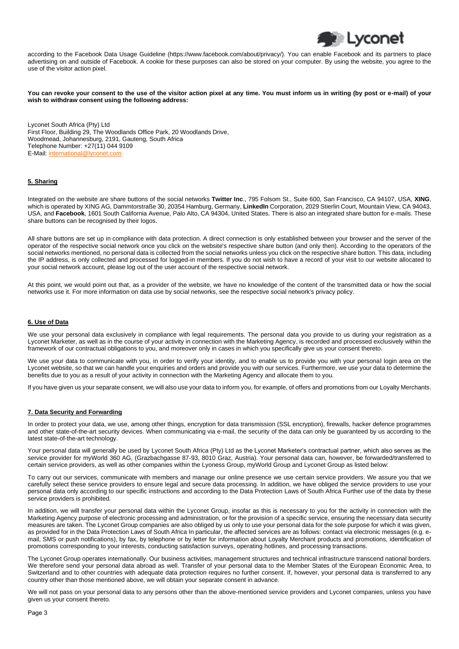

according to the Facebook Data Usage Guideline (https://www.facebook.com/about/privacy/). You can enable Facebook and its partners to place advertising on and outside of Facebook. A cookie for these purposes can also be stored on your computer. By using the website, you agree to the use of the visitor action pixel.

**You can revoke your consent to the use of the visitor action pixel at any time. You must inform us in writing (by post or e-mail) of your wish to withdraw consent using the following address:**

Lyconet South Africa (Pty) Ltd First Floor, Building 29, The Woodlands Office Park, 20 Woodlands Drive, Woodmead, Johannesburg, 2191, Gauteng, South Africa Telephone Number: +27(11) 044 9109 E-Mail: [international@lyconet.com](mailto:southafrica@lyconet.com) 

# **5. Sharing**

Integrated on the website are share buttons of the social networks **Twitter Inc**., 795 Folsom St., Suite 600, San Francisco, CA 94107, USA, **XING**, which is operated by XING AG, Dammtorstraße 30, 20354 Hamburg, Germany, **LinkedIn** Corporation, 2029 Stierlin Court, Mountain View, CA 94043, USA, and **Facebook**, 1601 South California Avenue, Palo Alto, CA 94304, United States. There is also an integrated share button for e-mails. These share buttons can be recognised by their logos.

All share buttons are set up in compliance with data protection. A direct connection is only established between your browser and the server of the operator of the respective social network once you click on the website's respective share button (and only then). According to the operators of the social networks mentioned, no personal data is collected from the social networks unless you click on the respective share button. This data, including the IP address, is only collected and processed for logged-in members. If you do not wish to have a record of your visit to our website allocated to your social network account, please log out of the user account of the respective social network.

At this point, we would point out that, as a provider of the website, we have no knowledge of the content of the transmitted data or how the social networks use it. For more information on data use by social networks, see the respective social network's privacy policy.

## **6. Use of Data**

We use your personal data exclusively in compliance with legal requirements. The personal data you provide to us during your registration as a Lyconet Marketer, as well as in the course of your activity in connection with the Marketing Agency, is recorded and processed exclusively within the framework of our contractual obligations to you, and moreover only in cases in which you specifically give us your consent thereto.

We use your data to communicate with you, in order to verify your identity, and to enable us to provide you with your personal login area on the Lyconet website, so that we can handle your enquiries and orders and provide you with our services. Furthermore, we use your data to determine the benefits due to you as a result of your activity in connection with the Marketing Agency and allocate them to you.

If you have given us your separate consent, we will also use your data to inform you, for example, of offers and promotions from our Loyalty Merchants.

#### **7. Data Security and Forwarding**

In order to protect your data, we use, among other things, encryption for data transmission (SSL encryption), firewalls, hacker defence programmes and other state-of-the-art security devices. When communicating via e-mail, the security of the data can only be guaranteed by us according to the latest state-of-the-art technology.

Your personal data will generally be used by Lyconet South Africa (Pty) Ltd as the Lyconet Marketer's contractual partner, which also serves as the service provider for myWorld 360 AG, (Grazbachgasse 87-93, 8010 Graz, Austria). Your personal data can, however, be forwarded/transferred to certain service providers, as well as other companies within the Lyoness Group, myWorld Group and Lyconet Group as listed below:

To carry out our services, communicate with members and manage our online presence we use certain service providers. We assure you that we carefully select these service providers to ensure legal and secure data processing. In addition, we have obliged the service providers to use your personal data only according to our specific instructions and according to the Data Protection Laws of South Africa Further use of the data by these service providers is prohibited.

In addition, we will transfer your personal data within the Lyconet Group, insofar as this is necessary to you for the activity in connection with the Marketing Agency purpose of electronic processing and administration, or for the provision of a specific service, ensuring the necessary data security measures are taken. The Lyconet Group companies are also obliged by us only to use your personal data for the sole purpose for which it was given, as provided for in the Data Protection Laws of South Africa In particular, the affected services are as follows: contact via electronic messages (e.g. email, SMS or push notifications), by fax, by telephone or by letter for information about Loyalty Merchant products and promotions, identification of promotions corresponding to your interests, conducting satisfaction surveys, operating hotlines, and processing transactions.

The Lyconet Group operates internationally. Our business activities, management structures and technical infrastructure transcend national borders. We therefore send your personal data abroad as well. Transfer of your personal data to the Member States of the European Economic Area, to Switzerland and to other countries with adequate data protection requires no further consent. If, however, your personal data is transferred to any country other than those mentioned above, we will obtain your separate consent in advance.

We will not pass on your personal data to any persons other than the above-mentioned service providers and Lyconet companies, unless you have given us your consent thereto.